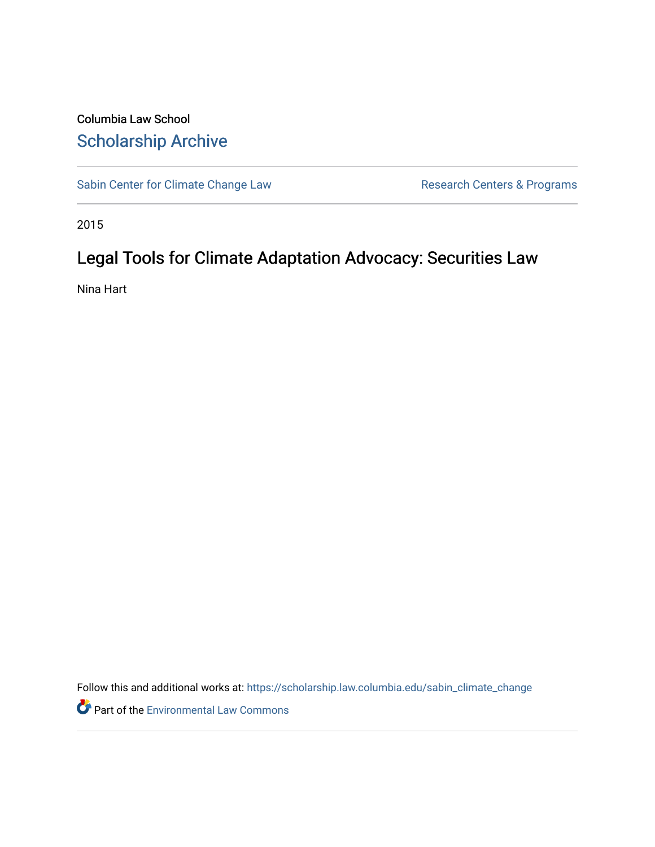# Columbia Law School [Scholarship Archive](https://scholarship.law.columbia.edu/)

[Sabin Center for Climate Change Law](https://scholarship.law.columbia.edu/sabin_climate_change) Research Centers & Programs

2015

# Legal Tools for Climate Adaptation Advocacy: Securities Law

Nina Hart

Follow this and additional works at: [https://scholarship.law.columbia.edu/sabin\\_climate\\_change](https://scholarship.law.columbia.edu/sabin_climate_change?utm_source=scholarship.law.columbia.edu%2Fsabin_climate_change%2F130&utm_medium=PDF&utm_campaign=PDFCoverPages) 

**P** Part of the [Environmental Law Commons](http://network.bepress.com/hgg/discipline/599?utm_source=scholarship.law.columbia.edu%2Fsabin_climate_change%2F130&utm_medium=PDF&utm_campaign=PDFCoverPages)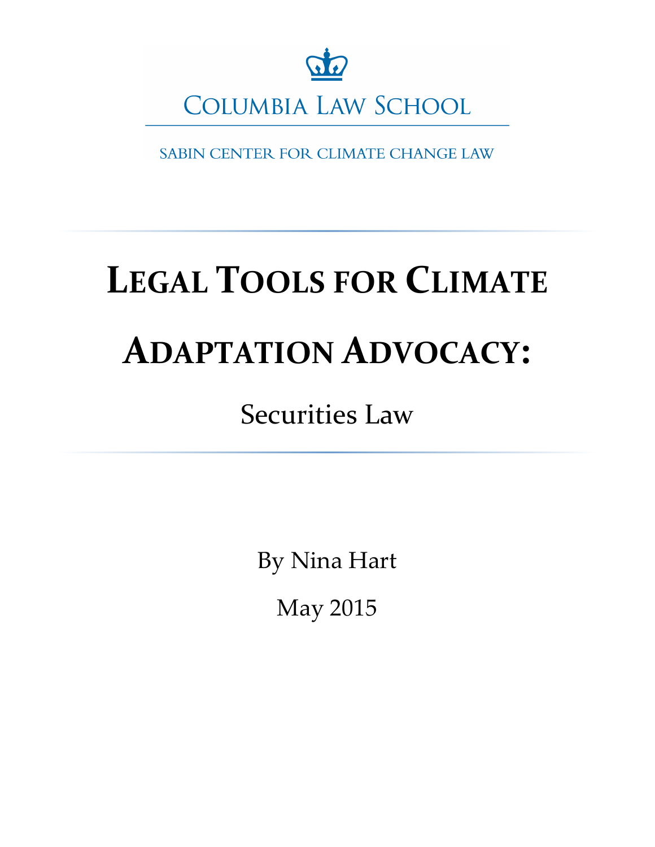

SABIN CENTER FOR CLIMATE CHANGE LAW

# **LEGAL TOOLS FOR CLIMATE ADAPTATION ADVOCACY:**

**Securities Law** 

By Nina Hart

May 2015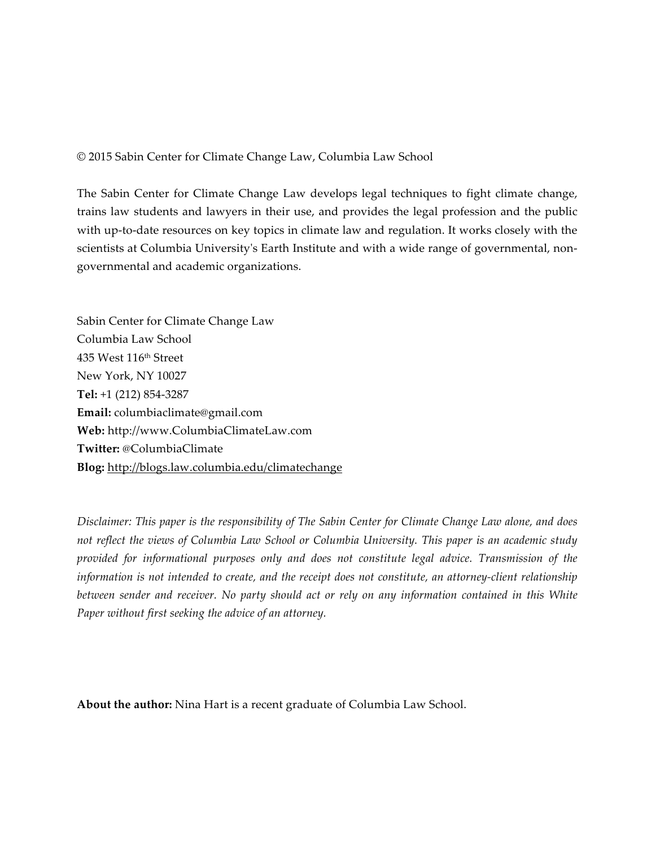© 2015 Sabin Center for Climate Change Law, Columbia Law School

The Sabin Center for Climate Change Law develops legal techniques to fight climate change, trains law students and lawyers in their use, and provides the legal profession and the public with up-to-date resources on key topics in climate law and regulation. It works closely with the scientists at Columbia University's Earth Institute and with a wide range of governmental, nongovernmental and academic organizations.

Sabin Center for Climate Change Law Columbia Law School 435 West 116th Street New York, NY 10027 **Tel:** +1 (212) 854-3287 **Email:** columbiaclimate@gmail.com **Web:** http://www.ColumbiaClimateLaw.com **Twitter:** @ColumbiaClimate **Blog:** http://blogs.law.columbia.edu/climatechange

*Disclaimer: This paper is the responsibility of The Sabin Center for Climate Change Law alone, and does not reflect the views of Columbia Law School or Columbia University. This paper is an academic study provided for informational purposes only and does not constitute legal advice. Transmission of the information is not intended to create, and the receipt does not constitute, an attorney-client relationship between sender and receiver. No party should act or rely on any information contained in this White Paper without first seeking the advice of an attorney.* 

**About the author:** Nina Hart is a recent graduate of Columbia Law School.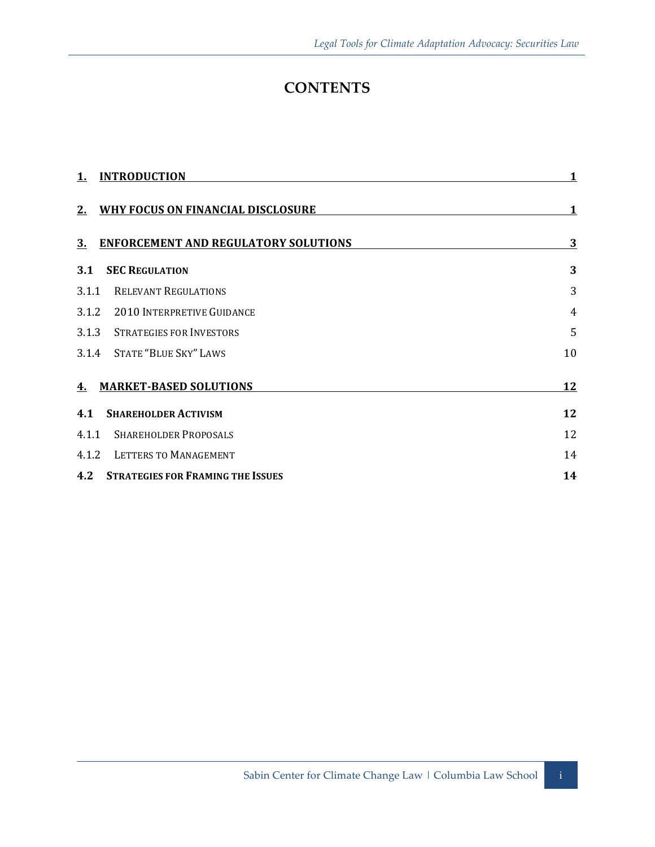# **CONTENTS**

| <b>INTRODUCTION</b><br>1.                         | 1              |
|---------------------------------------------------|----------------|
| WHY FOCUS ON FINANCIAL DISCLOSURE<br>2.           | 1              |
| <b>ENFORCEMENT AND REGULATORY SOLUTIONS</b><br>3. | 3              |
| <b>SEC REGULATION</b><br>3.1                      | 3              |
| <b>RELEVANT REGULATIONS</b><br>3.1.1              | 3              |
| <b>2010 INTERPRETIVE GUIDANCE</b><br>3.1.2        | $\overline{4}$ |
| 3.1.3<br><b>STRATEGIES FOR INVESTORS</b>          | 5              |
| <b>STATE "BLUE SKY" LAWS</b><br>3.1.4             | 10             |
| <b>MARKET-BASED SOLUTIONS</b><br>4.               | 12             |
| <b>SHAREHOLDER ACTIVISM</b><br>4.1                | 12             |
| <b>SHAREHOLDER PROPOSALS</b><br>4.1.1             | 12             |
| LETTERS TO MANAGEMENT<br>4.1.2                    | 14             |
| 4.2<br><b>STRATEGIES FOR FRAMING THE ISSUES</b>   | 14             |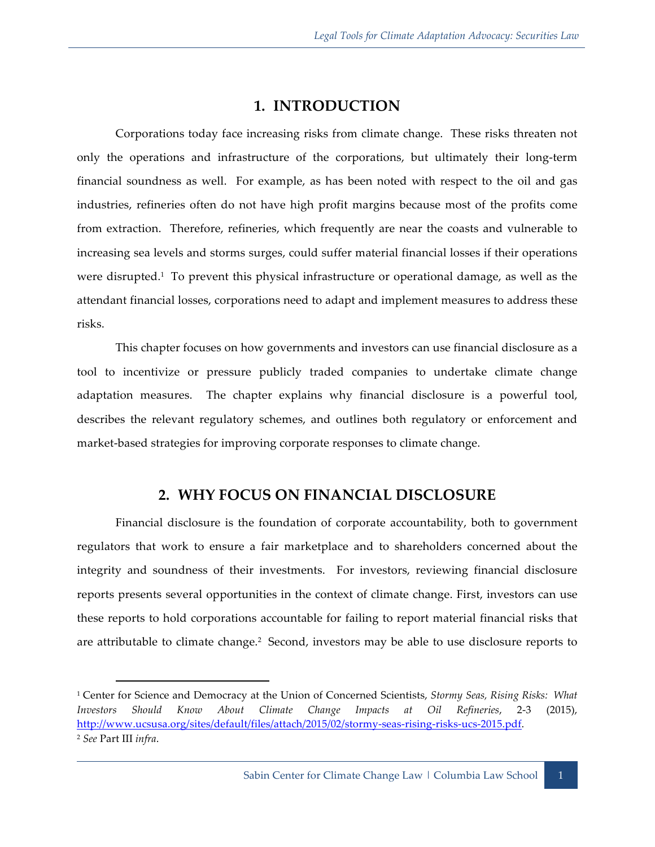# **1. INTRODUCTION**

Corporations today face increasing risks from climate change. These risks threaten not only the operations and infrastructure of the corporations, but ultimately their long-term financial soundness as well. For example, as has been noted with respect to the oil and gas industries, refineries often do not have high profit margins because most of the profits come from extraction. Therefore, refineries, which frequently are near the coasts and vulnerable to increasing sea levels and storms surges, could suffer material financial losses if their operations were disrupted.<sup>1</sup> To prevent this physical infrastructure or operational damage, as well as the attendant financial losses, corporations need to adapt and implement measures to address these risks.

This chapter focuses on how governments and investors can use financial disclosure as a tool to incentivize or pressure publicly traded companies to undertake climate change adaptation measures. The chapter explains why financial disclosure is a powerful tool, describes the relevant regulatory schemes, and outlines both regulatory or enforcement and market-based strategies for improving corporate responses to climate change.

# **2. WHY FOCUS ON FINANCIAL DISCLOSURE**

Financial disclosure is the foundation of corporate accountability, both to government regulators that work to ensure a fair marketplace and to shareholders concerned about the integrity and soundness of their investments. For investors, reviewing financial disclosure reports presents several opportunities in the context of climate change. First, investors can use these reports to hold corporations accountable for failing to report material financial risks that are attributable to climate change.<sup>2</sup> Second, investors may be able to use disclosure reports to

<sup>1</sup> Center for Science and Democracy at the Union of Concerned Scientists, *Stormy Seas, Rising Risks: What Investors Should Know About Climate Change Impacts at Oil Refineries*, 2-3 (2015), http://www.ucsusa.org/sites/default/files/attach/2015/02/stormy-seas-rising-risks-ucs-2015.pdf. <sup>2</sup> *See* Part III *infra*.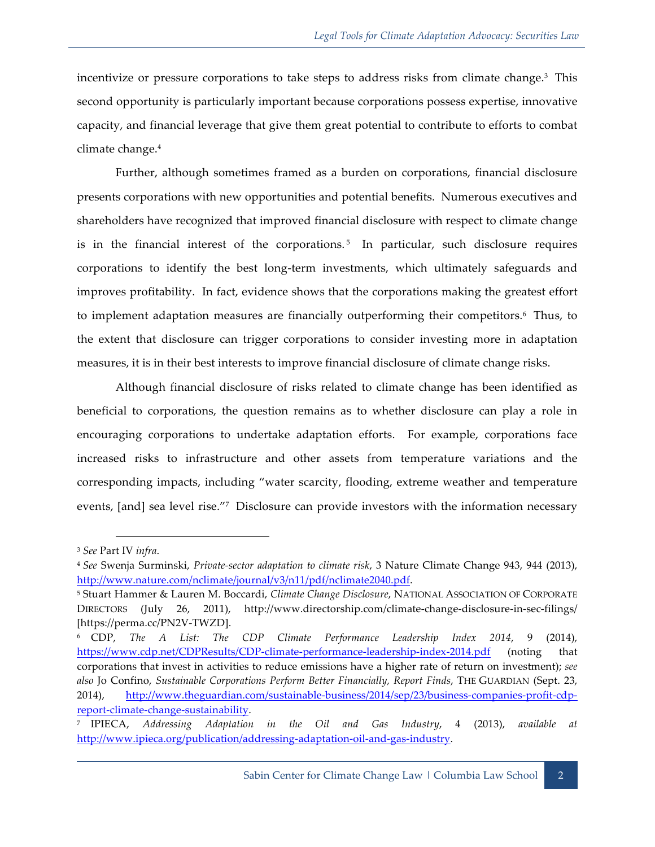incentivize or pressure corporations to take steps to address risks from climate change.<sup>3</sup> This second opportunity is particularly important because corporations possess expertise, innovative capacity, and financial leverage that give them great potential to contribute to efforts to combat climate change.4

Further, although sometimes framed as a burden on corporations, financial disclosure presents corporations with new opportunities and potential benefits. Numerous executives and shareholders have recognized that improved financial disclosure with respect to climate change is in the financial interest of the corporations.<sup>5</sup> In particular, such disclosure requires corporations to identify the best long-term investments, which ultimately safeguards and improves profitability. In fact, evidence shows that the corporations making the greatest effort to implement adaptation measures are financially outperforming their competitors.6 Thus, to the extent that disclosure can trigger corporations to consider investing more in adaptation measures, it is in their best interests to improve financial disclosure of climate change risks.

Although financial disclosure of risks related to climate change has been identified as beneficial to corporations, the question remains as to whether disclosure can play a role in encouraging corporations to undertake adaptation efforts. For example, corporations face increased risks to infrastructure and other assets from temperature variations and the corresponding impacts, including "water scarcity, flooding, extreme weather and temperature events, [and] sea level rise."7 Disclosure can provide investors with the information necessary

 $\overline{a}$ <sup>3</sup> *See* Part IV *infra*.

<sup>4</sup> *See* Swenja Surminski, *Private-sector adaptation to climate risk*, 3 Nature Climate Change 943, 944 (2013), http://www.nature.com/nclimate/journal/v3/n11/pdf/nclimate2040.pdf.

<sup>5</sup> Stuart Hammer & Lauren M. Boccardi, *Climate Change Disclosure*, NATIONAL ASSOCIATION OF CORPORATE DIRECTORS (July 26, 2011), http://www.directorship.com/climate-change-disclosure-in-sec-filings/ [https://perma.cc/PN2V-TWZD].

<sup>6</sup> CDP, *The A List: The CDP Climate Performance Leadership Index 2014*, 9 (2014), https://www.cdp.net/CDPResults/CDP-climate-performance-leadership-index-2014.pdf (noting that corporations that invest in activities to reduce emissions have a higher rate of return on investment); *see also* Jo Confino, *Sustainable Corporations Perform Better Financially, Report Finds*, THE GUARDIAN (Sept. 23, 2014), http://www.theguardian.com/sustainable-business/2014/sep/23/business-companies-profit-cdpreport-climate-change-sustainability.

<sup>7</sup> IPIECA, *Addressing Adaptation in the Oil and Gas Industry*, 4 (2013), *available at* http://www.ipieca.org/publication/addressing-adaptation-oil-and-gas-industry.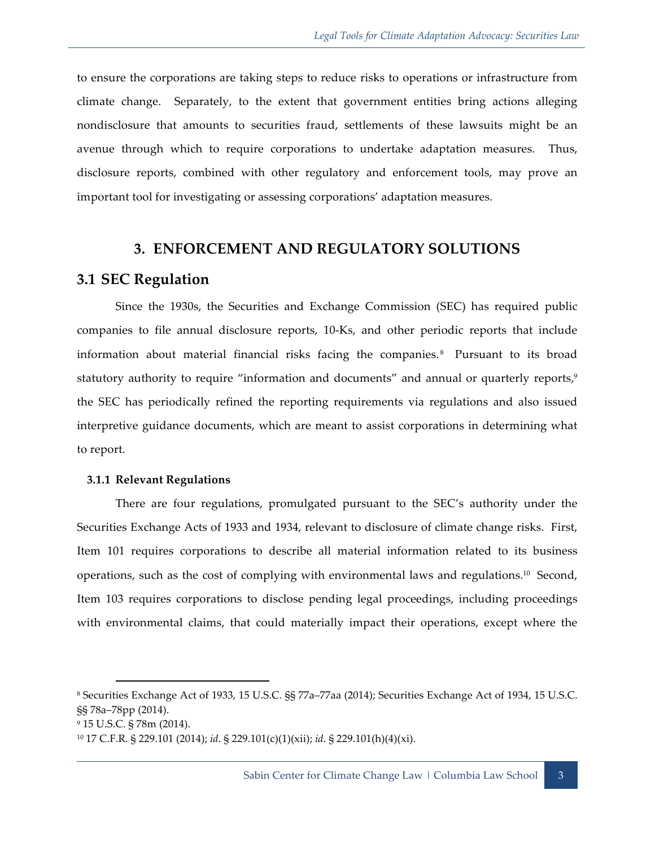to ensure the corporations are taking steps to reduce risks to operations or infrastructure from climate change. Separately, to the extent that government entities bring actions alleging nondisclosure that amounts to securities fraud, settlements of these lawsuits might be an avenue through which to require corporations to undertake adaptation measures. Thus, disclosure reports, combined with other regulatory and enforcement tools, may prove an important tool for investigating or assessing corporations' adaptation measures.

# **3. ENFORCEMENT AND REGULATORY SOLUTIONS**

### **3.1 SEC Regulation**

Since the 1930s, the Securities and Exchange Commission (SEC) has required public companies to file annual disclosure reports, 10-Ks, and other periodic reports that include information about material financial risks facing the companies. 8 Pursuant to its broad statutory authority to require "information and documents" and annual or quarterly reports,<sup>9</sup> the SEC has periodically refined the reporting requirements via regulations and also issued interpretive guidance documents, which are meant to assist corporations in determining what to report.

#### **3.1.1 Relevant Regulations**

There are four regulations, promulgated pursuant to the SEC's authority under the Securities Exchange Acts of 1933 and 1934, relevant to disclosure of climate change risks. First, Item 101 requires corporations to describe all material information related to its business operations, such as the cost of complying with environmental laws and regulations. 10 Second, Item 103 requires corporations to disclose pending legal proceedings, including proceedings with environmental claims, that could materially impact their operations, except where the

<sup>8</sup> Securities Exchange Act of 1933, 15 U.S.C. §§ 77a–77aa (2014); Securities Exchange Act of 1934, 15 U.S.C. §§ 78a–78pp (2014).

<sup>9</sup> 15 U.S.C. § 78m (2014).

<sup>10</sup> 17 C.F.R. § 229.101 (2014); *id*. § 229.101(c)(1)(xii); *id*. § 229.101(h)(4)(xi).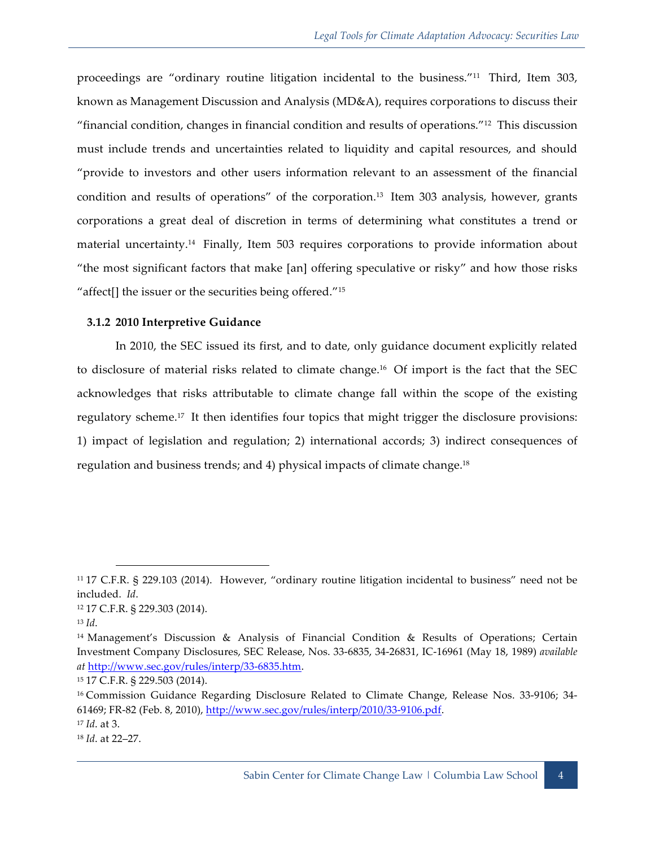proceedings are "ordinary routine litigation incidental to the business."11 Third, Item 303, known as Management Discussion and Analysis (MD&A), requires corporations to discuss their "financial condition, changes in financial condition and results of operations."12 This discussion must include trends and uncertainties related to liquidity and capital resources, and should "provide to investors and other users information relevant to an assessment of the financial condition and results of operations" of the corporation.13 Item 303 analysis, however, grants corporations a great deal of discretion in terms of determining what constitutes a trend or material uncertainty. 14 Finally, Item 503 requires corporations to provide information about "the most significant factors that make [an] offering speculative or risky" and how those risks "affect[] the issuer or the securities being offered."<sup>15</sup>

#### **3.1.2 2010 Interpretive Guidance**

In 2010, the SEC issued its first, and to date, only guidance document explicitly related to disclosure of material risks related to climate change.16 Of import is the fact that the SEC acknowledges that risks attributable to climate change fall within the scope of the existing regulatory scheme.17 It then identifies four topics that might trigger the disclosure provisions: 1) impact of legislation and regulation; 2) international accords; 3) indirect consequences of regulation and business trends; and 4) physical impacts of climate change.<sup>18</sup>

<sup>11</sup> 17 C.F.R. § 229.103 (2014). However, "ordinary routine litigation incidental to business" need not be included. *Id*.

<sup>12</sup> 17 C.F.R. § 229.303 (2014).

<sup>13</sup> *Id*.

<sup>14</sup> Management's Discussion & Analysis of Financial Condition & Results of Operations; Certain Investment Company Disclosures, SEC Release, Nos. 33-6835, 34-26831, IC-16961 (May 18, 1989) *available at* http://www.sec.gov/rules/interp/33-6835.htm.

<sup>15</sup> 17 C.F.R. § 229.503 (2014).

<sup>16</sup> Commission Guidance Regarding Disclosure Related to Climate Change, Release Nos. 33-9106; 34- 61469; FR-82 (Feb. 8, 2010), http://www.sec.gov/rules/interp/2010/33-9106.pdf.

<sup>17</sup> *Id*. at 3.

<sup>18</sup> *Id*. at 22–27.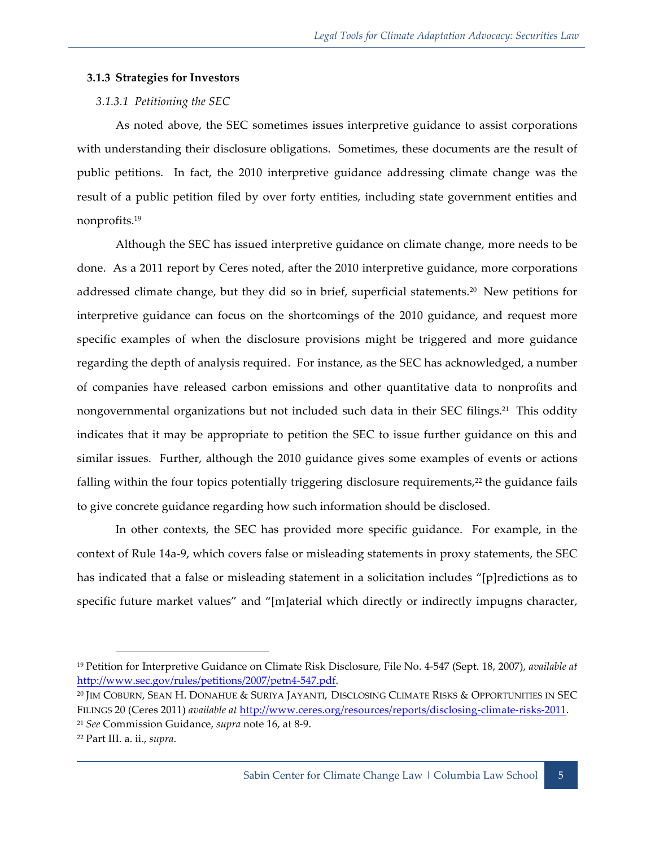#### **3.1.3 Strategies for Investors**

#### *3.1.3.1 Petitioning the SEC*

As noted above, the SEC sometimes issues interpretive guidance to assist corporations with understanding their disclosure obligations. Sometimes, these documents are the result of public petitions. In fact, the 2010 interpretive guidance addressing climate change was the result of a public petition filed by over forty entities, including state government entities and nonprofits.19

Although the SEC has issued interpretive guidance on climate change, more needs to be done. As a 2011 report by Ceres noted, after the 2010 interpretive guidance, more corporations addressed climate change, but they did so in brief, superficial statements.<sup>20</sup> New petitions for interpretive guidance can focus on the shortcomings of the 2010 guidance, and request more specific examples of when the disclosure provisions might be triggered and more guidance regarding the depth of analysis required. For instance, as the SEC has acknowledged, a number of companies have released carbon emissions and other quantitative data to nonprofits and nongovernmental organizations but not included such data in their SEC filings.<sup>21</sup> This oddity indicates that it may be appropriate to petition the SEC to issue further guidance on this and similar issues. Further, although the 2010 guidance gives some examples of events or actions falling within the four topics potentially triggering disclosure requirements,<sup>22</sup> the guidance fails to give concrete guidance regarding how such information should be disclosed.

In other contexts, the SEC has provided more specific guidance. For example, in the context of Rule 14a-9, which covers false or misleading statements in proxy statements, the SEC has indicated that a false or misleading statement in a solicitation includes "[p]redictions as to specific future market values" and "[m]aterial which directly or indirectly impugns character,

<sup>19</sup> Petition for Interpretive Guidance on Climate Risk Disclosure, File No. 4-547 (Sept. 18, 2007), *available at* http://www.sec.gov/rules/petitions/2007/petn4-547.pdf.

<sup>20</sup> JIM COBURN, SEAN H. DONAHUE & SURIYA JAYANTI, DISCLOSING CLIMATE RISKS & OPPORTUNITIES IN SEC FILINGS 20 (Ceres 2011) *available at* http://www.ceres.org/resources/reports/disclosing-climate-risks-2011. <sup>21</sup> *See* Commission Guidance, *supra* note 16, at 8-9.

<sup>22</sup> Part III. a. ii., *supra*.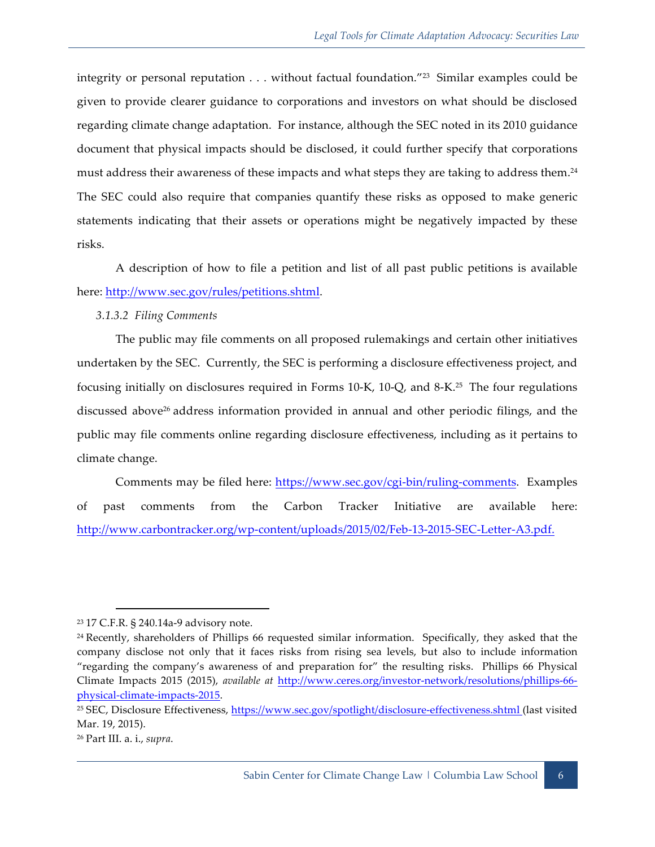integrity or personal reputation . . . without factual foundation."23 Similar examples could be given to provide clearer guidance to corporations and investors on what should be disclosed regarding climate change adaptation. For instance, although the SEC noted in its 2010 guidance document that physical impacts should be disclosed, it could further specify that corporations must address their awareness of these impacts and what steps they are taking to address them.<sup>24</sup> The SEC could also require that companies quantify these risks as opposed to make generic statements indicating that their assets or operations might be negatively impacted by these risks.

A description of how to file a petition and list of all past public petitions is available here: http://www.sec.gov/rules/petitions.shtml.

*3.1.3.2 Filing Comments*

The public may file comments on all proposed rulemakings and certain other initiatives undertaken by the SEC. Currently, the SEC is performing a disclosure effectiveness project, and focusing initially on disclosures required in Forms 10-K, 10-Q, and 8-K.25 The four regulations discussed above<sup>26</sup> address information provided in annual and other periodic filings, and the public may file comments online regarding disclosure effectiveness, including as it pertains to climate change.

Comments may be filed here: https://www.sec.gov/cgi-bin/ruling-comments. Examples of past comments from the Carbon Tracker Initiative are available here: http://www.carbontracker.org/wp-content/uploads/2015/02/Feb-13-2015-SEC-Letter-A3.pdf.

<sup>23</sup> 17 C.F.R. § 240.14a-9 advisory note.

<sup>24</sup> Recently, shareholders of Phillips 66 requested similar information. Specifically, they asked that the company disclose not only that it faces risks from rising sea levels, but also to include information "regarding the company's awareness of and preparation for" the resulting risks. Phillips 66 Physical Climate Impacts 2015 (2015), *available at* http://www.ceres.org/investor-network/resolutions/phillips-66 physical-climate-impacts-2015.

<sup>25</sup> SEC, Disclosure Effectiveness, https://www.sec.gov/spotlight/disclosure-effectiveness.shtml (last visited Mar. 19, 2015).

<sup>26</sup> Part III. a. i., *supra*.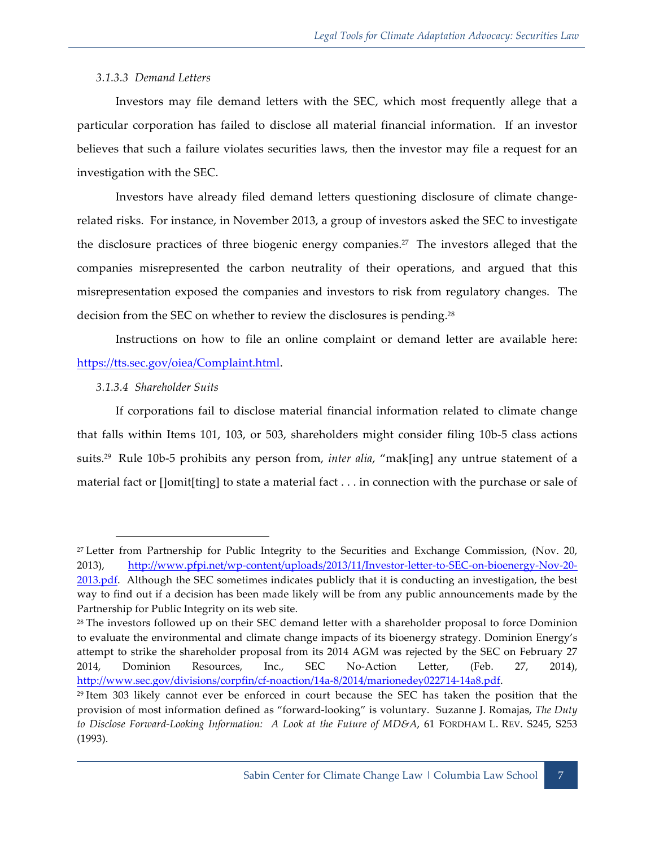#### *3.1.3.3 Demand Letters*

Investors may file demand letters with the SEC, which most frequently allege that a particular corporation has failed to disclose all material financial information. If an investor believes that such a failure violates securities laws, then the investor may file a request for an investigation with the SEC.

Investors have already filed demand letters questioning disclosure of climate changerelated risks. For instance, in November 2013, a group of investors asked the SEC to investigate the disclosure practices of three biogenic energy companies.27 The investors alleged that the companies misrepresented the carbon neutrality of their operations, and argued that this misrepresentation exposed the companies and investors to risk from regulatory changes. The decision from the SEC on whether to review the disclosures is pending.<sup>28</sup>

Instructions on how to file an online complaint or demand letter are available here: https://tts.sec.gov/oiea/Complaint.html.

#### *3.1.3.4 Shareholder Suits*

 $\overline{a}$ 

If corporations fail to disclose material financial information related to climate change that falls within Items 101, 103, or 503, shareholders might consider filing 10b-5 class actions suits.29 Rule 10b-5 prohibits any person from, *inter alia*, "mak[ing] any untrue statement of a material fact or []omit[ting] to state a material fact . . . in connection with the purchase or sale of

<sup>27</sup> Letter from Partnership for Public Integrity to the Securities and Exchange Commission, (Nov. 20, 2013), http://www.pfpi.net/wp-content/uploads/2013/11/Investor-letter-to-SEC-on-bioenergy-Nov-20- 2013.pdf. Although the SEC sometimes indicates publicly that it is conducting an investigation, the best way to find out if a decision has been made likely will be from any public announcements made by the Partnership for Public Integrity on its web site.

<sup>&</sup>lt;sup>28</sup> The investors followed up on their SEC demand letter with a shareholder proposal to force Dominion to evaluate the environmental and climate change impacts of its bioenergy strategy. Dominion Energy's attempt to strike the shareholder proposal from its 2014 AGM was rejected by the SEC on February 27 2014, Dominion Resources, Inc., SEC No-Action Letter, (Feb. 27, 2014), http://www.sec.gov/divisions/corpfin/cf-noaction/14a-8/2014/marionedey022714-14a8.pdf.

<sup>29</sup> Item 303 likely cannot ever be enforced in court because the SEC has taken the position that the provision of most information defined as "forward-looking" is voluntary. Suzanne J. Romajas, *The Duty to Disclose Forward-Looking Information: A Look at the Future of MD&A*, 61 FORDHAM L. REV. S245, S253 (1993).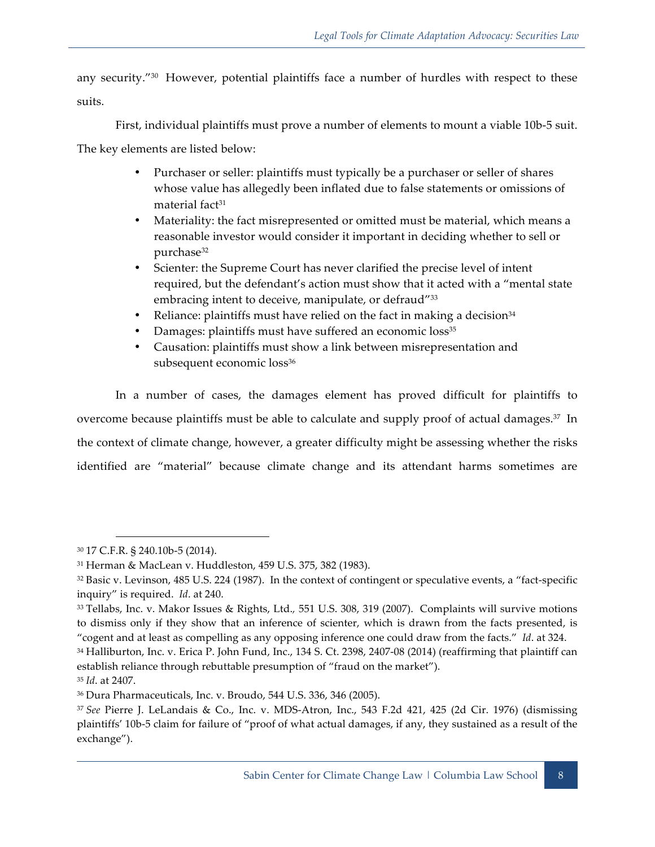any security."30 However, potential plaintiffs face a number of hurdles with respect to these suits.

First, individual plaintiffs must prove a number of elements to mount a viable 10b-5 suit.

The key elements are listed below:

- Purchaser or seller: plaintiffs must typically be a purchaser or seller of shares whose value has allegedly been inflated due to false statements or omissions of material fact<sup>31</sup>
- Materiality: the fact misrepresented or omitted must be material, which means a reasonable investor would consider it important in deciding whether to sell or purchase<sup>32</sup>
- Scienter: the Supreme Court has never clarified the precise level of intent required, but the defendant's action must show that it acted with a "mental state embracing intent to deceive, manipulate, or defraud"<sup>33</sup>
- Reliance: plaintiffs must have relied on the fact in making a decision $34$
- Damages: plaintiffs must have suffered an economic loss<sup>35</sup>
- Causation: plaintiffs must show a link between misrepresentation and subsequent economic loss<sup>36</sup>

In a number of cases, the damages element has proved difficult for plaintiffs to overcome because plaintiffs must be able to calculate and supply proof of actual damages.37 In the context of climate change, however, a greater difficulty might be assessing whether the risks identified are "material" because climate change and its attendant harms sometimes are

<sup>30</sup> 17 C.F.R. § 240.10b-5 (2014).

<sup>31</sup> Herman & MacLean v. Huddleston, 459 U.S. 375, 382 (1983).

<sup>32</sup> Basic v. Levinson, 485 U.S. 224 (1987). In the context of contingent or speculative events, a "fact-specific inquiry" is required. *Id*. at 240.

<sup>33</sup> Tellabs, Inc. v. Makor Issues & Rights, Ltd.*,* 551 U.S. 308, 319 (2007). Complaints will survive motions to dismiss only if they show that an inference of scienter, which is drawn from the facts presented, is "cogent and at least as compelling as any opposing inference one could draw from the facts." *Id*. at 324.

<sup>34</sup> Halliburton, Inc. v. Erica P. John Fund, Inc., 134 S. Ct. 2398, 2407-08 (2014) (reaffirming that plaintiff can establish reliance through rebuttable presumption of "fraud on the market").

<sup>35</sup> *Id*. at 2407.

<sup>36</sup> Dura Pharmaceuticals, Inc. v. Broudo, 544 U.S. 336, 346 (2005).

<sup>37</sup> *See* Pierre J. LeLandais & Co., Inc. v. MDS-Atron, Inc., 543 F.2d 421, 425 (2d Cir. 1976) (dismissing plaintiffs' 10b-5 claim for failure of "proof of what actual damages, if any, they sustained as a result of the exchange").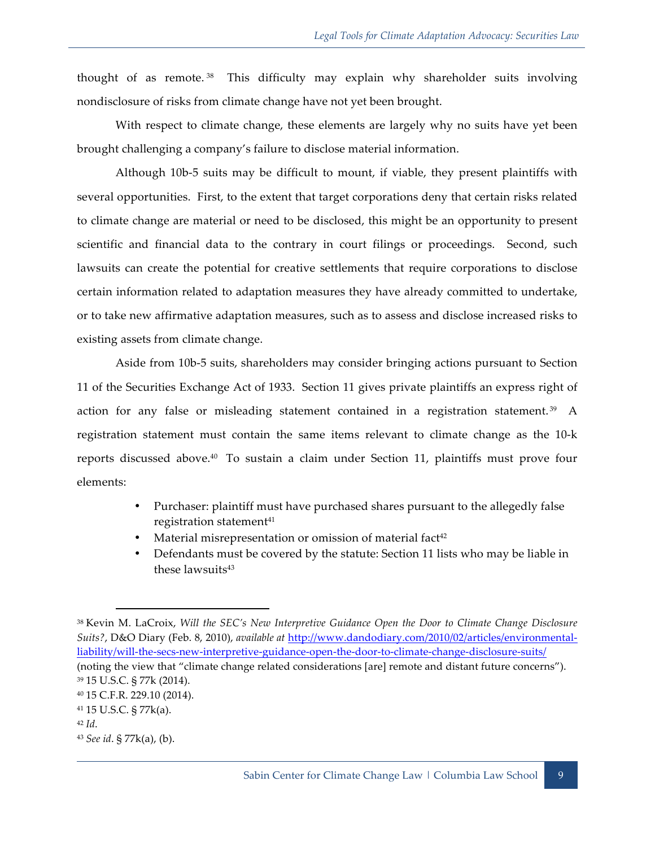thought of as remote. 38 This difficulty may explain why shareholder suits involving nondisclosure of risks from climate change have not yet been brought.

With respect to climate change, these elements are largely why no suits have yet been brought challenging a company's failure to disclose material information.

Although 10b-5 suits may be difficult to mount, if viable, they present plaintiffs with several opportunities. First, to the extent that target corporations deny that certain risks related to climate change are material or need to be disclosed, this might be an opportunity to present scientific and financial data to the contrary in court filings or proceedings. Second, such lawsuits can create the potential for creative settlements that require corporations to disclose certain information related to adaptation measures they have already committed to undertake, or to take new affirmative adaptation measures, such as to assess and disclose increased risks to existing assets from climate change.

Aside from 10b-5 suits, shareholders may consider bringing actions pursuant to Section 11 of the Securities Exchange Act of 1933. Section 11 gives private plaintiffs an express right of action for any false or misleading statement contained in a registration statement.<sup>39</sup> A registration statement must contain the same items relevant to climate change as the 10-k reports discussed above.40 To sustain a claim under Section 11, plaintiffs must prove four elements:

- Purchaser: plaintiff must have purchased shares pursuant to the allegedly false registration statement<sup>41</sup>
- Material misrepresentation or omission of material fact<sup>42</sup>
- Defendants must be covered by the statute: Section 11 lists who may be liable in these lawsuits<sup>43</sup>

<sup>38</sup> Kevin M. LaCroix, *Will the SEC's New Interpretive Guidance Open the Door to Climate Change Disclosure Suits?*, D&O Diary (Feb. 8, 2010), *available at* http://www.dandodiary.com/2010/02/articles/environmentalliability/will-the-secs-new-interpretive-guidance-open-the-door-to-climate-change-disclosure-suits/ (noting the view that "climate change related considerations [are] remote and distant future concerns"). <sup>39</sup> 15 U.S.C. § 77k (2014). <sup>40</sup> 15 C.F.R. 229.10 (2014). <sup>41</sup> 15 U.S.C. § 77k(a).

<sup>42</sup> *Id*.

<sup>43</sup> *See id*. § 77k(a), (b).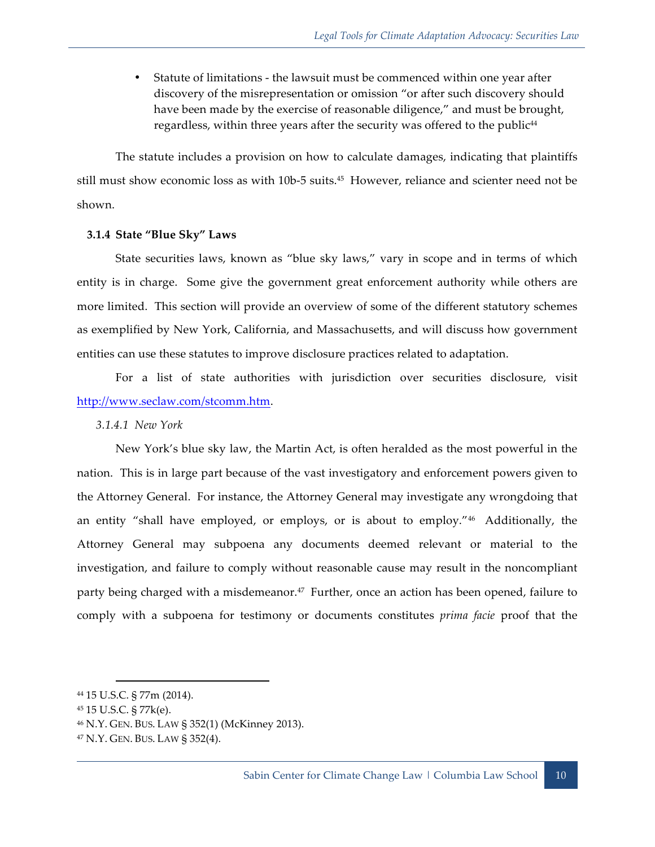• Statute of limitations - the lawsuit must be commenced within one year after discovery of the misrepresentation or omission "or after such discovery should have been made by the exercise of reasonable diligence," and must be brought, regardless, within three years after the security was offered to the public<sup>44</sup>

The statute includes a provision on how to calculate damages, indicating that plaintiffs still must show economic loss as with 10b-5 suits.45 However, reliance and scienter need not be shown.

#### **3.1.4 State "Blue Sky" Laws**

State securities laws, known as "blue sky laws," vary in scope and in terms of which entity is in charge. Some give the government great enforcement authority while others are more limited. This section will provide an overview of some of the different statutory schemes as exemplified by New York, California, and Massachusetts, and will discuss how government entities can use these statutes to improve disclosure practices related to adaptation.

For a list of state authorities with jurisdiction over securities disclosure, visit http://www.seclaw.com/stcomm.htm.

*3.1.4.1 New York*

New York's blue sky law, the Martin Act, is often heralded as the most powerful in the nation. This is in large part because of the vast investigatory and enforcement powers given to the Attorney General. For instance, the Attorney General may investigate any wrongdoing that an entity "shall have employed, or employs, or is about to employ."46 Additionally, the Attorney General may subpoena any documents deemed relevant or material to the investigation, and failure to comply without reasonable cause may result in the noncompliant party being charged with a misdemeanor.<sup>47</sup> Further, once an action has been opened, failure to comply with a subpoena for testimony or documents constitutes *prima facie* proof that the

<sup>44</sup> 15 U.S.C. § 77m (2014).

<sup>45</sup> 15 U.S.C. § 77k(e).

<sup>46</sup> N.Y. GEN. BUS. LAW § 352(1) (McKinney 2013).

<sup>47</sup> N.Y. GEN. BUS. LAW § 352(4).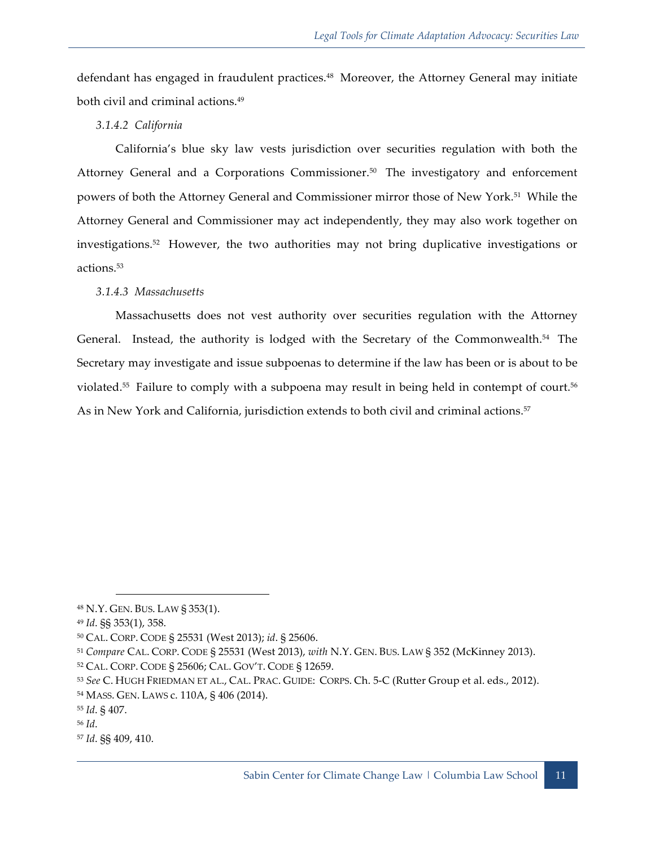defendant has engaged in fraudulent practices.<sup>48</sup> Moreover, the Attorney General may initiate both civil and criminal actions.49

*3.1.4.2 California*

California's blue sky law vests jurisdiction over securities regulation with both the Attorney General and a Corporations Commissioner.<sup>50</sup> The investigatory and enforcement powers of both the Attorney General and Commissioner mirror those of New York.<sup>51</sup> While the Attorney General and Commissioner may act independently, they may also work together on investigations.52 However, the two authorities may not bring duplicative investigations or actions.53

#### *3.1.4.3 Massachusetts*

Massachusetts does not vest authority over securities regulation with the Attorney General. Instead, the authority is lodged with the Secretary of the Commonwealth.<sup>54</sup> The Secretary may investigate and issue subpoenas to determine if the law has been or is about to be violated.<sup>55</sup> Failure to comply with a subpoena may result in being held in contempt of court.<sup>56</sup> As in New York and California, jurisdiction extends to both civil and criminal actions.<sup>57</sup>

<sup>48</sup> N.Y. GEN. BUS. LAW § 353(1).

<sup>49</sup> *Id*. §§ 353(1), 358.

<sup>50</sup> CAL. CORP. CODE § 25531 (West 2013); *id*. § 25606.

<sup>51</sup> *Compare* CAL. CORP. CODE § 25531 (West 2013), *with* N.Y. GEN. BUS. LAW § 352 (McKinney 2013).

<sup>52</sup> CAL. CORP. CODE § 25606; CAL. GOV'T. CODE § 12659.

<sup>53</sup> *See* C. HUGH FRIEDMAN ET AL., CAL. PRAC. GUIDE: CORPS. Ch. 5-C (Rutter Group et al. eds., 2012). <sup>54</sup> MASS. GEN. LAWS c. 110A, § 406 (2014).

<sup>55</sup> *Id*. § 407.

<sup>56</sup> *Id*.

<sup>57</sup> *Id*. §§ 409, 410.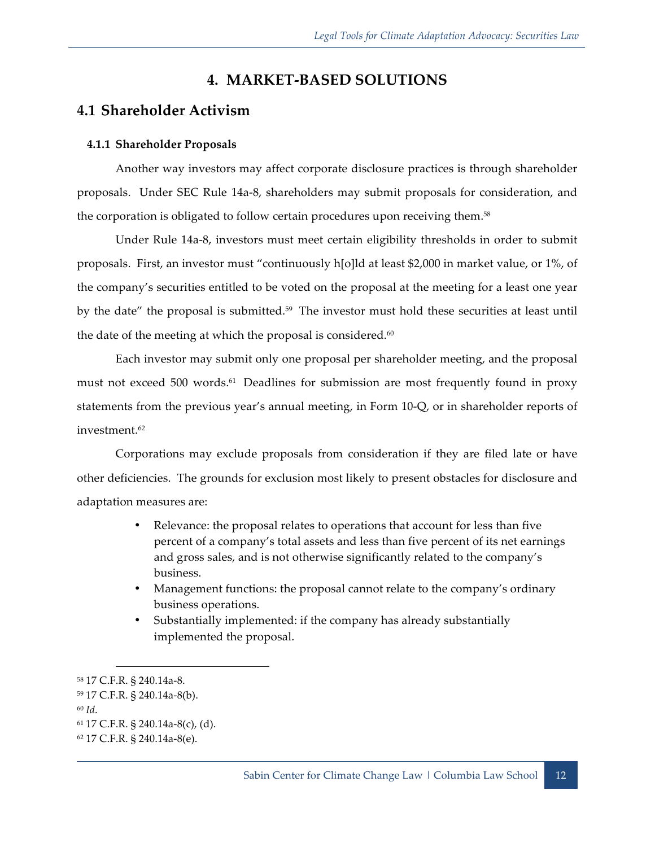# **4. MARKET-BASED SOLUTIONS**

# **4.1 Shareholder Activism**

#### **4.1.1 Shareholder Proposals**

Another way investors may affect corporate disclosure practices is through shareholder proposals. Under SEC Rule 14a-8, shareholders may submit proposals for consideration, and the corporation is obligated to follow certain procedures upon receiving them.<sup>58</sup>

Under Rule 14a-8, investors must meet certain eligibility thresholds in order to submit proposals. First, an investor must "continuously h[o]ld at least \$2,000 in market value, or 1%, of the company's securities entitled to be voted on the proposal at the meeting for a least one year by the date" the proposal is submitted.<sup>59</sup> The investor must hold these securities at least until the date of the meeting at which the proposal is considered.<sup>60</sup>

Each investor may submit only one proposal per shareholder meeting, and the proposal must not exceed 500 words.<sup>61</sup> Deadlines for submission are most frequently found in proxy statements from the previous year's annual meeting, in Form 10-Q, or in shareholder reports of investment.62

Corporations may exclude proposals from consideration if they are filed late or have other deficiencies. The grounds for exclusion most likely to present obstacles for disclosure and adaptation measures are:

- Relevance: the proposal relates to operations that account for less than five percent of a company's total assets and less than five percent of its net earnings and gross sales, and is not otherwise significantly related to the company's business.
- Management functions: the proposal cannot relate to the company's ordinary business operations.
- Substantially implemented: if the company has already substantially implemented the proposal.

<sup>58</sup> 17 C.F.R. § 240.14a-8.

<sup>59</sup> 17 C.F.R. § 240.14a-8(b).

<sup>60</sup> *Id*.

<sup>61</sup> 17 C.F.R. § 240.14a-8(c), (d).

<sup>62</sup> 17 C.F.R. § 240.14a-8(e).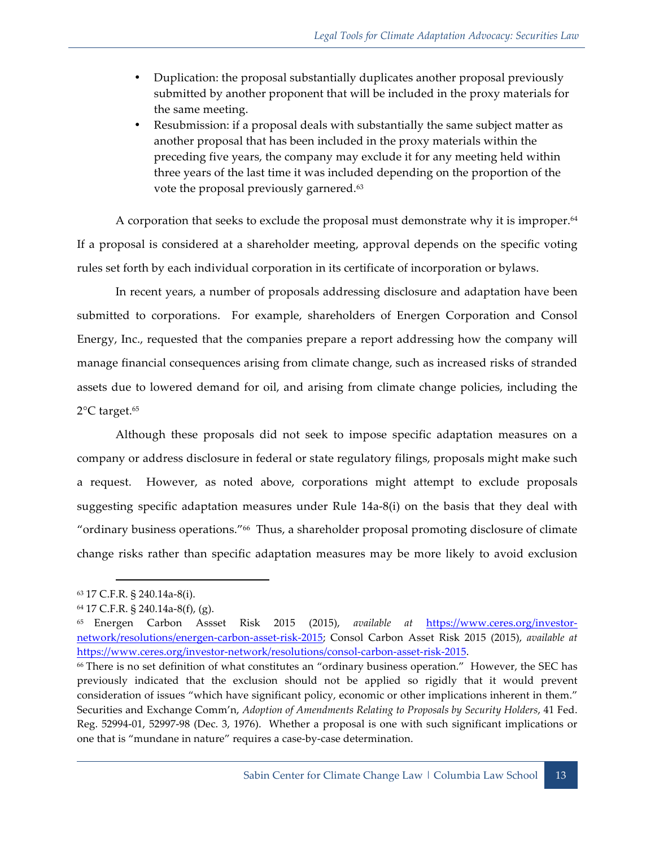- Duplication: the proposal substantially duplicates another proposal previously submitted by another proponent that will be included in the proxy materials for the same meeting.
- Resubmission: if a proposal deals with substantially the same subject matter as another proposal that has been included in the proxy materials within the preceding five years, the company may exclude it for any meeting held within three years of the last time it was included depending on the proportion of the vote the proposal previously garnered.<sup>63</sup>

A corporation that seeks to exclude the proposal must demonstrate why it is improper.<sup>64</sup> If a proposal is considered at a shareholder meeting, approval depends on the specific voting rules set forth by each individual corporation in its certificate of incorporation or bylaws.

In recent years, a number of proposals addressing disclosure and adaptation have been submitted to corporations. For example, shareholders of Energen Corporation and Consol Energy, Inc., requested that the companies prepare a report addressing how the company will manage financial consequences arising from climate change, such as increased risks of stranded assets due to lowered demand for oil, and arising from climate change policies, including the  $2^{\circ}$ C target.<sup>65</sup>

Although these proposals did not seek to impose specific adaptation measures on a company or address disclosure in federal or state regulatory filings, proposals might make such a request. However, as noted above, corporations might attempt to exclude proposals suggesting specific adaptation measures under Rule 14a-8(i) on the basis that they deal with "ordinary business operations."66 Thus, a shareholder proposal promoting disclosure of climate change risks rather than specific adaptation measures may be more likely to avoid exclusion

<sup>63</sup> 17 C.F.R. § 240.14a-8(i).

<sup>64</sup> 17 C.F.R. § 240.14a-8(f), (g).

<sup>65</sup> Energen Carbon Assset Risk 2015 (2015), *available at* https://www.ceres.org/investornetwork/resolutions/energen-carbon-asset-risk-2015; Consol Carbon Asset Risk 2015 (2015), *available at* https://www.ceres.org/investor-network/resolutions/consol-carbon-asset-risk-2015.

<sup>66</sup> There is no set definition of what constitutes an "ordinary business operation." However, the SEC has previously indicated that the exclusion should not be applied so rigidly that it would prevent consideration of issues "which have significant policy, economic or other implications inherent in them." Securities and Exchange Comm'n, *Adoption of Amendments Relating to Proposals by Security Holders*, 41 Fed. Reg. 52994-01, 52997-98 (Dec. 3, 1976). Whether a proposal is one with such significant implications or one that is "mundane in nature" requires a case-by-case determination.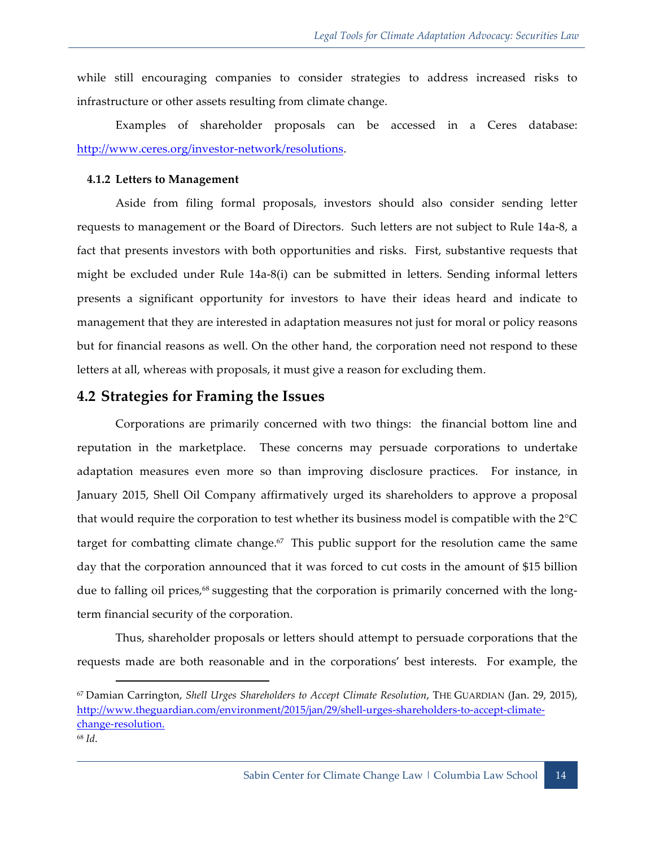while still encouraging companies to consider strategies to address increased risks to infrastructure or other assets resulting from climate change.

Examples of shareholder proposals can be accessed in a Ceres database: http://www.ceres.org/investor-network/resolutions.

#### **4.1.2 Letters to Management**

Aside from filing formal proposals, investors should also consider sending letter requests to management or the Board of Directors. Such letters are not subject to Rule 14a-8, a fact that presents investors with both opportunities and risks. First, substantive requests that might be excluded under Rule 14a-8(i) can be submitted in letters. Sending informal letters presents a significant opportunity for investors to have their ideas heard and indicate to management that they are interested in adaptation measures not just for moral or policy reasons but for financial reasons as well. On the other hand, the corporation need not respond to these letters at all, whereas with proposals, it must give a reason for excluding them.

## **4.2 Strategies for Framing the Issues**

 $\overline{a}$ 

Corporations are primarily concerned with two things: the financial bottom line and reputation in the marketplace. These concerns may persuade corporations to undertake adaptation measures even more so than improving disclosure practices. For instance, in January 2015, Shell Oil Company affirmatively urged its shareholders to approve a proposal that would require the corporation to test whether its business model is compatible with the 2°C target for combatting climate change.<sup>67</sup> This public support for the resolution came the same day that the corporation announced that it was forced to cut costs in the amount of \$15 billion due to falling oil prices,<sup>68</sup> suggesting that the corporation is primarily concerned with the longterm financial security of the corporation.

Thus, shareholder proposals or letters should attempt to persuade corporations that the requests made are both reasonable and in the corporations' best interests. For example, the

<sup>67</sup> Damian Carrington, *Shell Urges Shareholders to Accept Climate Resolution*, THE GUARDIAN (Jan. 29, 2015), http://www.theguardian.com/environment/2015/jan/29/shell-urges-shareholders-to-accept-climatechange-resolution. <sup>68</sup> *Id*.